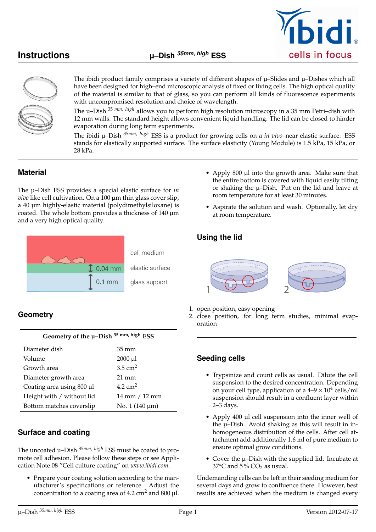



The ibidi product family comprises a variety of different shapes of  $\mu$ –Slides and  $\mu$ –Dishes which all have been designed for high–end microscopic analysis of fixed or living cells. The high optical quality of the material is similar to that of glass, so you can perform all kinds of fluorescence experiments with uncompromised resolution and choice of wavelength.

The µ–Dish <sup>35</sup> *mm*, *high* allows you to perform high resolution microscopy in a 35 mm Petri–dish with 12 mm walls. The standard height allows convenient liquid handling. The lid can be closed to hinder evaporation during long term experiments.

The ibidi µ–Dish <sup>35</sup>*mm*, *high* ESS is a product for growing cells on a *in vivo*–near elastic surface. ESS stands for elastically supported surface. The surface elasticity (Young Module) is 1.5 kPa, 15 kPa, or 28 kPa.

## **Material**

The µ–Dish ESS provides a special elastic surface for *in vivo* like cell cultivation. On a 100 µm thin glass cover slip, a 40 µm highly-elastic material (polydimethylsiloxane) is coated. The whole bottom provides a thickness of 140 µm and a very high optical quality.



the entire bottom is covered with liquid easily tilting or shaking the µ–Dish. Put on the lid and leave at room temperature for at least 30 minutes.

• Apply 800 µl into the growth area. Make sure that

• Aspirate the solution and wash. Optionally, let dry at room temperature.

## **Using the lid**



- 1. open position, easy opening
- 2. close position, for long term studies, minimal evaporation

# **Geometry**

| Geometry of the µ-Dish 35 mm, high ESS |                      |  |  |
|----------------------------------------|----------------------|--|--|
| Diameter dish                          | 35 mm                |  |  |
| Volume                                 | $2000 \mu l$         |  |  |
| Growth area                            | $3.5 \text{ cm}^2$   |  |  |
| Diameter growth area                   | $21 \text{ mm}$      |  |  |
| Coating area using 800 µl              | 4.2 $cm2$            |  |  |
| Height with / without lid              | 14 mm / 12 mm        |  |  |
| Bottom matches coverslip               | No. $1(140 \,\mu m)$ |  |  |

# **Surface and coating**

The uncoated µ–Dish <sup>35</sup>*mm*, *high* ESS must be coated to promote cell adhesion. Please follow these steps or see Application Note 08 "Cell culture coating" on *www.ibidi.com*.

• Prepare your coating solution according to the manufacturer's specifications or reference. Adjust the concentration to a coating area of  $4.2 \text{ cm}^2$  and  $800 \text{ µl}$ .

#### **Seeding cells**

- Trypsinize and count cells as usual. Dilute the cell suspension to the desired concentration. Depending on your cell type, application of a  $4-9 \times 10^4$  cells/ml suspension should result in a confluent layer within 2–3 days.
- Apply 400 µl cell suspension into the inner well of the µ–Dish. Avoid shaking as this will result in inhomogeneous distribution of the cells. After cell attachment add additionally 1.6 ml of pure medium to ensure optimal grow conditions.
- Cover the µ–Dish with the supplied lid. Incubate at 37 $\degree$ C and 5 $\degree$  CO<sub>2</sub> as usual.

Undemanding cells can be left in their seeding medium for several days and grow to confluence there. However, best results are achieved when the medium is changed every